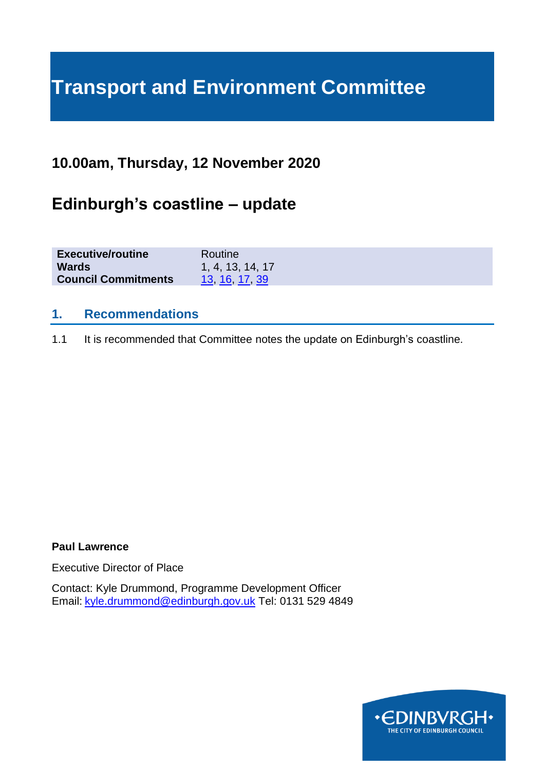# **Transport and Environment Committee**

# **10.00am, Thursday, 12 November 2020**

# **Edinburgh's coastline – update**

| <b>Executive/routine</b>   | Routine          |
|----------------------------|------------------|
| <b>Wards</b>               | 1, 4, 13, 14, 17 |
| <b>Council Commitments</b> | 13 16 17 39      |

#### **1. Recommendations**

1.1 It is recommended that Committee notes the update on Edinburgh's coastline.

#### **Paul Lawrence**

Executive Director of Place

Contact: Kyle Drummond, Programme Development Officer Email: [kyle.drummond@edinburgh.gov.uk](mailto:kyle.drummond@edinburgh.gov.uk) Tel: 0131 529 4849

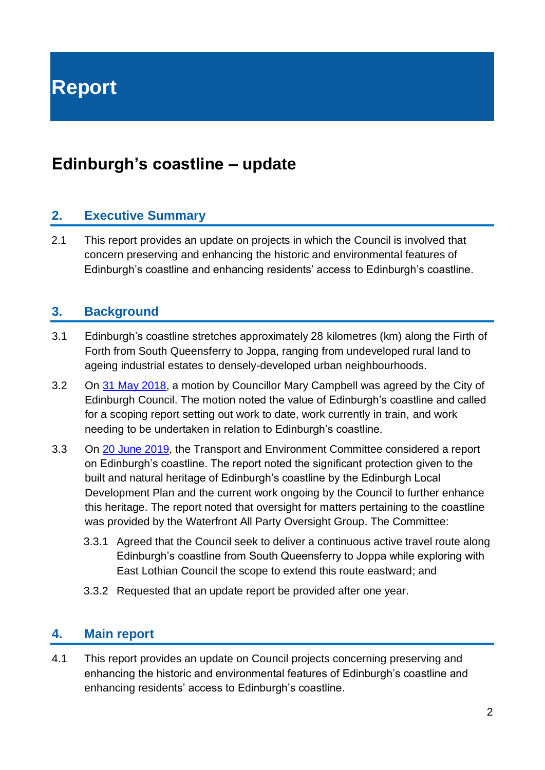**Report**

# **Edinburgh's coastline – update**

#### **2. Executive Summary**

2.1 This report provides an update on projects in which the Council is involved that concern preserving and enhancing the historic and environmental features of Edinburgh's coastline and enhancing residents' access to Edinburgh's coastline.

#### **3. Background**

- 3.1 Edinburgh's coastline stretches approximately 28 kilometres (km) along the Firth of Forth from South Queensferry to Joppa, ranging from undeveloped rural land to ageing industrial estates to densely-developed urban neighbourhoods.
- 3.2 On 31 [May 2018,](#page-4-0) a motion by Councillor Mary Campbell was agreed by the City of Edinburgh Council. The motion noted the value of Edinburgh's coastline and called for a scoping report setting out work to date, work currently in train, and work needing to be undertaken in relation to Edinburgh's coastline.
- 3.3 On [20 June 2019,](https://democracy.edinburgh.gov.uk/CeListDocuments.aspx?CommitteeId=136&MeetingId=4764&DF=20%2f06%2f2019&Ver=2) the Transport and Environment Committee considered a report on Edinburgh's coastline. The report noted the significant protection given to the built and natural heritage of Edinburgh's coastline by the Edinburgh Local Development Plan and the current work ongoing by the Council to further enhance this heritage. The report noted that oversight for matters pertaining to the coastline was provided by the Waterfront All Party Oversight Group. The Committee:
	- 3.3.1 Agreed that the Council seek to deliver a continuous active travel route along Edinburgh's coastline from South Queensferry to Joppa while exploring with East Lothian Council the scope to extend this route eastward; and
	- 3.3.2 Requested that an update report be provided after one year.

#### **4. Main report**

4.1 This report provides an update on Council projects concerning preserving and enhancing the historic and environmental features of Edinburgh's coastline and enhancing residents' access to Edinburgh's coastline.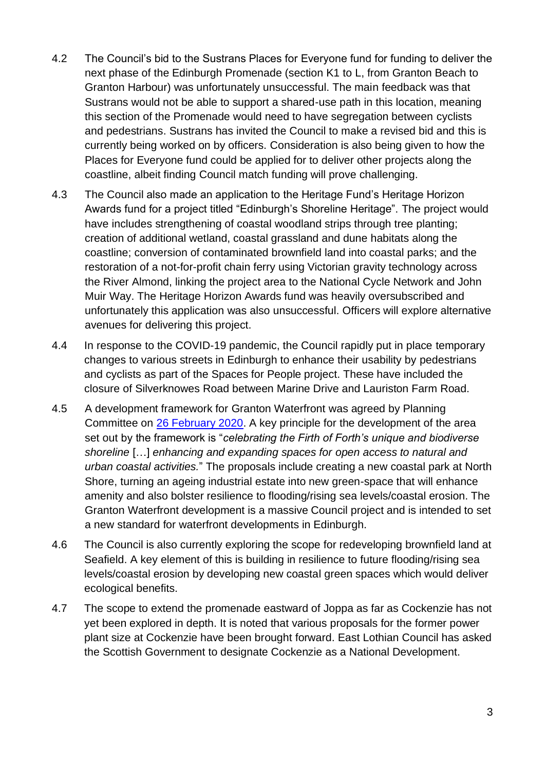- 4.2 The Council's bid to the Sustrans Places for Everyone fund for funding to deliver the next phase of the Edinburgh Promenade (section K1 to L, from Granton Beach to Granton Harbour) was unfortunately unsuccessful. The main feedback was that Sustrans would not be able to support a shared-use path in this location, meaning this section of the Promenade would need to have segregation between cyclists and pedestrians. Sustrans has invited the Council to make a revised bid and this is currently being worked on by officers. Consideration is also being given to how the Places for Everyone fund could be applied for to deliver other projects along the coastline, albeit finding Council match funding will prove challenging.
- 4.3 The Council also made an application to the Heritage Fund's Heritage Horizon Awards fund for a project titled "Edinburgh's Shoreline Heritage". The project would have includes strengthening of coastal woodland strips through tree planting; creation of additional wetland, coastal grassland and dune habitats along the coastline; conversion of contaminated brownfield land into coastal parks; and the restoration of a not-for-profit chain ferry using Victorian gravity technology across the River Almond, linking the project area to the National Cycle Network and John Muir Way. The Heritage Horizon Awards fund was heavily oversubscribed and unfortunately this application was also unsuccessful. Officers will explore alternative avenues for delivering this project.
- 4.4 In response to the COVID-19 pandemic, the Council rapidly put in place temporary changes to various streets in Edinburgh to enhance their usability by pedestrians and cyclists as part of the Spaces for People project. These have included the closure of Silverknowes Road between Marine Drive and Lauriston Farm Road.
- 4.5 A development framework for Granton Waterfront was agreed by Planning Committee on [26 February 2020.](https://democracy.edinburgh.gov.uk/ieListDocuments.aspx?CId=147&MId=326&Ver=4) A key principle for the development of the area set out by the framework is "*celebrating the Firth of Forth's unique and biodiverse shoreline* […] *enhancing and expanding spaces for open access to natural and urban coastal activities.*" The proposals include creating a new coastal park at North Shore, turning an ageing industrial estate into new green-space that will enhance amenity and also bolster resilience to flooding/rising sea levels/coastal erosion. The Granton Waterfront development is a massive Council project and is intended to set a new standard for waterfront developments in Edinburgh.
- 4.6 The Council is also currently exploring the scope for redeveloping brownfield land at Seafield. A key element of this is building in resilience to future flooding/rising sea levels/coastal erosion by developing new coastal green spaces which would deliver ecological benefits.
- 4.7 The scope to extend the promenade eastward of Joppa as far as Cockenzie has not yet been explored in depth. It is noted that various proposals for the former power plant size at Cockenzie have been brought forward. East Lothian Council has asked the Scottish Government to designate Cockenzie as a National Development.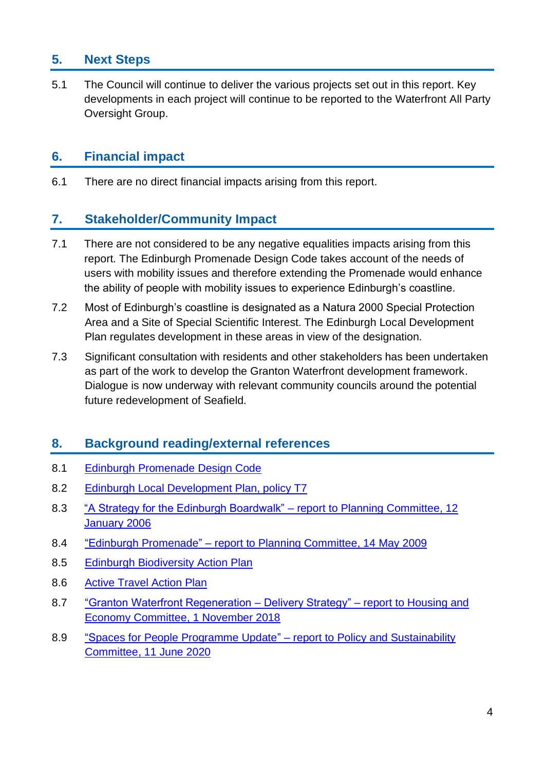# **5. Next Steps**

5.1 The Council will continue to deliver the various projects set out in this report. Key developments in each project will continue to be reported to the Waterfront All Party Oversight Group.

# **6. Financial impact**

6.1 There are no direct financial impacts arising from this report.

### **7. Stakeholder/Community Impact**

- 7.1 There are not considered to be any negative equalities impacts arising from this report. The Edinburgh Promenade Design Code takes account of the needs of users with mobility issues and therefore extending the Promenade would enhance the ability of people with mobility issues to experience Edinburgh's coastline.
- 7.2 Most of Edinburgh's coastline is designated as a Natura 2000 Special Protection Area and a Site of Special Scientific Interest. The Edinburgh Local Development Plan regulates development in these areas in view of the designation.
- 7.3 Significant consultation with residents and other stakeholders has been undertaken as part of the work to develop the Granton Waterfront development framework. Dialogue is now underway with relevant community councils around the potential future redevelopment of Seafield.

# **8. Background reading/external references**

- 8.1 [Edinburgh Promenade](http://www.edinburgh.gov.uk/downloads/file/836/edinburgh_promenade_design_code) Design Code
- 8.2 [Edinburgh Local Development Plan, policy T7](http://www.edinburghcouncilmaps.info/plans/ldp/Edinburgh_Local_Development_Plan.pdf#page=40)
- 8.3 ["A Strategy for the Edinburgh Boardwalk" –](http://www.edinburgh.gov.uk/download/meetings/id/17829/a_strategy_for_the_edinburgh_boardwalk) report to Planning Committee, 12 [January 2006](http://www.edinburgh.gov.uk/download/meetings/id/17829/a_strategy_for_the_edinburgh_boardwalk)
- 8.4 "Edinburgh Promenade" [report to Planning Committee, 14](http://www.edinburgh.gov.uk/download/meetings/id/3818/edinburgh_promenade) May 2009
- 8.5 [Edinburgh Biodiversity Action Plan](http://www.edinburgh.gov.uk/downloads/file/7669/edinburgh_biodiversity_action_plan_2016-18)
- 8.6 [Active Travel Action Plan](http://www.edinburgh.gov.uk/download/downloads/id/7316/active_travel_action_plan_2016_refresh.pdf)
- 8.7 ["Granton Waterfront Regeneration –](http://www.edinburgh.gov.uk/download/meetings/id/59007/item_72_-_granton_waterfront_regeneration_%E2%80%93_delivery_strategy) Delivery Strategy" report to Housing and [Economy Committee, 1](http://www.edinburgh.gov.uk/download/meetings/id/59007/item_72_-_granton_waterfront_regeneration_%E2%80%93_delivery_strategy) November 2018
- 8.9 ["Spaces for People Programme Update" –](https://democracy.edinburgh.gov.uk/ieListDocuments.aspx?CId=135&MId=5513&Ver=4) report to Policy and Sustainability [Committee, 11](https://democracy.edinburgh.gov.uk/ieListDocuments.aspx?CId=135&MId=5513&Ver=4) June 2020